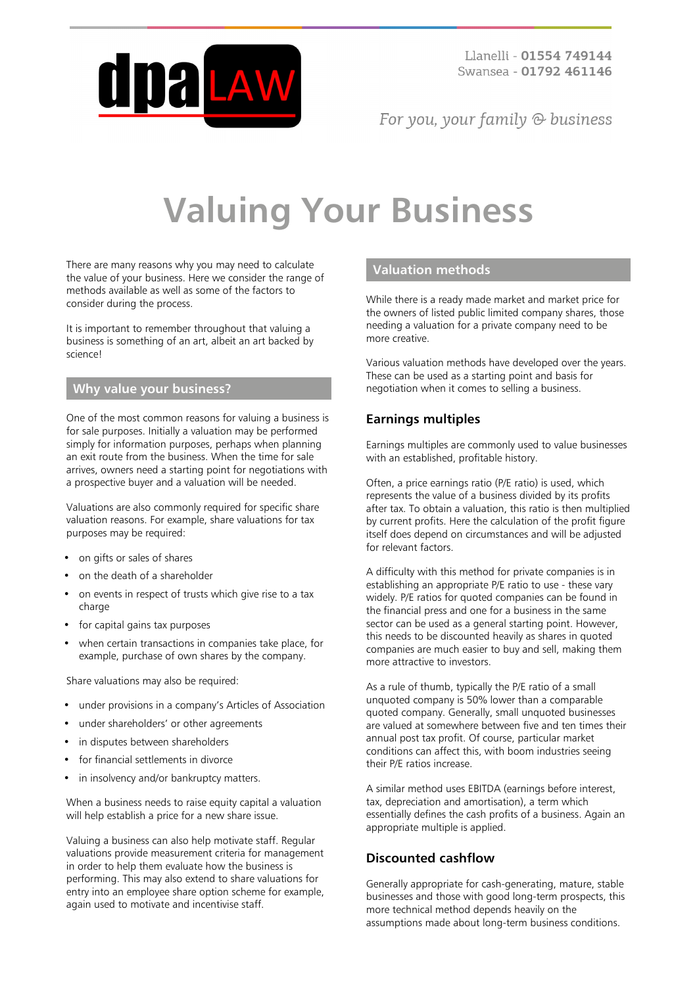

For you, your family  $\odot$  business

# **Valuing Your Business**

There are many reasons why you may need to calculate the value of your business. Here we consider the range of methods available as well as some of the factors to consider during the process.

It is important to remember throughout that valuing a business is something of an art, albeit an art backed by science!

#### **Why value your business?**

One of the most common reasons for valuing a business is for sale purposes. Initially a valuation may be performed simply for information purposes, perhaps when planning an exit route from the business. When the time for sale arrives, owners need a starting point for negotiations with a prospective buyer and a valuation will be needed.

Valuations are also commonly required for specific share valuation reasons. For example, share valuations for tax purposes may be required:

- on gifts or sales of shares
- on the death of a shareholder
- on events in respect of trusts which give rise to a tax charge
- for capital gains tax purposes
- when certain transactions in companies take place, for example, purchase of own shares by the company.

Share valuations may also be required:

- under provisions in a company's Articles of Association
- under shareholders' or other agreements
- in disputes between shareholders
- for financial settlements in divorce
- in insolvency and/or bankruptcy matters.

When a business needs to raise equity capital a valuation will help establish a price for a new share issue.

Valuing a business can also help motivate staff. Regular valuations provide measurement criteria for management in order to help them evaluate how the business is performing. This may also extend to share valuations for entry into an employee share option scheme for example, again used to motivate and incentivise staff.

#### **Valuation methods**

While there is a ready made market and market price for the owners of listed public limited company shares, those needing a valuation for a private company need to be more creative.

Various valuation methods have developed over the years. These can be used as a starting point and basis for negotiation when it comes to selling a business.

## **Earnings multiples**

Earnings multiples are commonly used to value businesses with an established, profitable history.

Often, a price earnings ratio (P/E ratio) is used, which represents the value of a business divided by its profits after tax. To obtain a valuation, this ratio is then multiplied by current profits. Here the calculation of the profit figure itself does depend on circumstances and will be adjusted for relevant factors.

A difficulty with this method for private companies is in establishing an appropriate P/E ratio to use - these vary widely. P/E ratios for quoted companies can be found in the financial press and one for a business in the same sector can be used as a general starting point. However, this needs to be discounted heavily as shares in quoted companies are much easier to buy and sell, making them more attractive to investors.

As a rule of thumb, typically the P/E ratio of a small unquoted company is 50% lower than a comparable quoted company. Generally, small unquoted businesses are valued at somewhere between five and ten times their annual post tax profit. Of course, particular market conditions can affect this, with boom industries seeing their P/E ratios increase.

A similar method uses EBITDA (earnings before interest, tax, depreciation and amortisation), a term which essentially defines the cash profits of a business. Again an appropriate multiple is applied.

## **Discounted cashflow**

Generally appropriate for cash-generating, mature, stable businesses and those with good long-term prospects, this more technical method depends heavily on the assumptions made about long-term business conditions.